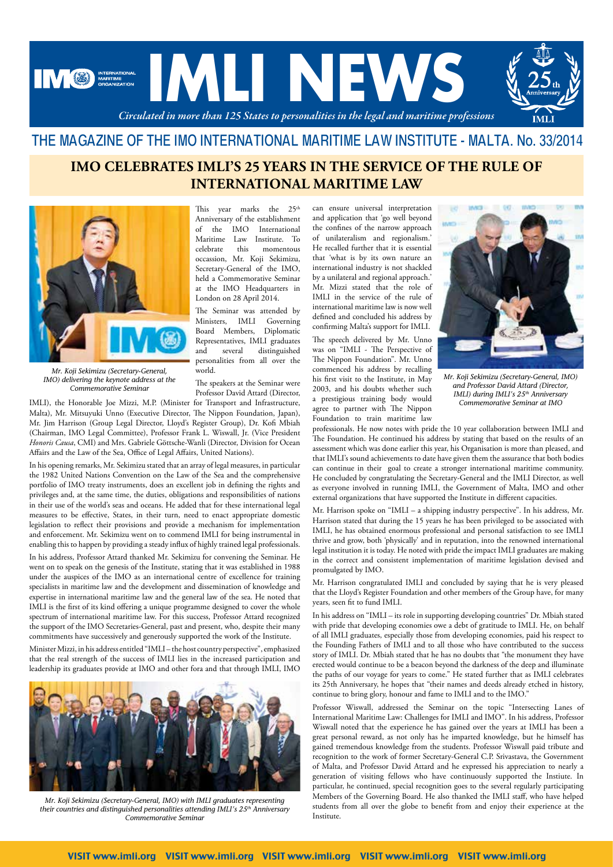

### THE MAGAZINE OF THE IMO INTERNATIONAL MARITIME LAW INSTITUTE - MALTA. No. 33/2014

# **IMO CELEBRATES IMLI'S 25 YEARS IN THE SERVICE OF THE RULE OF INTERNATIONAL MARITIME LAW**



*Mr. Koji Sekimizu (Secretary-General, IMO) delivering the keynote address at the Commemorative Seminar*

IMLI), the Honorable Joe Mizzi, M.P. (Minister for Transport and Infrastructure, Malta), Mr. Mitsuyuki Unno (Executive Director, The Nippon Foundation, Japan), Mr. Jim Harrison (Group Legal Director, Lloyd's Register Group), Dr. Kofi Mbiah (Chairman, IMO Legal Committee), Professor Frank L. Wiswall, Jr. (Vice President *Honoris Causa*, CMI) and Mrs. Gabriele Göttsche-Wanli (Director, Division for Ocean Affairs and the Law of the Sea, Office of Legal Affairs, United Nations).

In his opening remarks, Mr. Sekimizu stated that an array of legal measures, in particular the 1982 United Nations Convention on the Law of the Sea and the comprehensive portfolio of IMO treaty instruments, does an excellent job in defining the rights and privileges and, at the same time, the duties, obligations and responsibilities of nations in their use of the world's seas and oceans. He added that for these international legal measures to be effective, States, in their turn, need to enact appropriate domestic legislation to reflect their provisions and provide a mechanism for implementation and enforcement. Mr. Sekimizu went on to commend IMLI for being instrumental in enabling this to happen by providing a steady influx of highly trained legal professionals.

In his address, Professor Attard thanked Mr. Sekimizu for convening the Seminar. He went on to speak on the genesis of the Institute, stating that it was established in 1988 under the auspices of the IMO as an international centre of excellence for training specialists in maritime law and the development and dissemination of knowledge and expertise in international maritime law and the general law of the sea. He noted that IMLI is the first of its kind offering a unique programme designed to cover the whole spectrum of international maritime law. For this success, Professor Attard recognized the support of the IMO Secretaries-General, past and present, who, despite their many commitments have successively and generously supported the work of the Institute.

Minister Mizzi, in his address entitled "IMLI – the host country perspective", emphasized that the real strength of the success of IMLI lies in the increased participation and leadership its graduates provide at IMO and other fora and that through IMLI, IMO



*Mr. Koji Sekimizu (Secretary-General, IMO) with IMLI graduates representing their countries and distinguished personalities attending IMLI's 25th Anniversary Commemorative Seminar*

This year marks the  $25^{\text{th}}$ Anniversary of the establishment of the IMO International Maritime Law Institute. To<br>
celebrate this momentous celebrate this momentous occassion, Mr. Koji Sekimizu, Secretary-General of the IMO, held a Commemorative Seminar at the IMO Headquarters in London on 28 April 2014. The Seminar was attended by can ensure universal interpretation and application that 'go well beyond

Ministers, IMLI Governing Board Members, Diplomatic Representatives, IMLI graduates and several distinguished personalities from all over the world.

The speakers at the Seminar were Professor David Attard (Director,

the confines of the narrow approach of unilateralism and regionalism.' He recalled further that it is essential that 'what is by its own nature an international industry is not shackled by a unilateral and regional approach.' Mr. Mizzi stated that the role of IMLI in the service of the rule of international maritime law is now well defined and concluded his address by confirming Malta's support for IMLI.

The speech delivered by Mr. Unno was on "IMLI - The Perspective of The Nippon Foundation". Mr. Unno commenced his address by recalling his first visit to the Institute, in May 2003, and his doubts whether such a prestigious training body would agree to partner with The Nippon Foundation to train maritime law



*Mr. Koji Sekimizu (Secretary-General, IMO) and Professor David Attard (Director, IMLI) during IMLI's 25th Anniversary Commemorative Seminar at IMO*

professionals. He now notes with pride the 10 year collaboration between IMLI and The Foundation. He continued his address by stating that based on the results of an assessment which was done earlier this year, his Organisation is more than pleased, and that IMLI's sound achievements to date have given them the assurance that both bodies can continue in their goal to create a stronger international maritime community. He concluded by congratulating the Secretary-General and the IMLI Director, as well as everyone involved in running IMLI, the Government of Malta, IMO and other external organizations that have supported the Institute in different capacities.

Mr. Harrison spoke on "IMLI – a shipping industry perspective". In his address, Mr. Harrison stated that during the 15 years he has been privileged to be associated with IMLI, he has obtained enormous professional and personal satisfaction to see IMLI thrive and grow, both 'physically' and in reputation, into the renowned international legal institution it is today. He noted with pride the impact IMLI graduates are making in the correct and consistent implementation of maritime legislation devised and promulgated by IMO.

Mr. Harrison congratulated IMLI and concluded by saying that he is very pleased that the Lloyd's Register Foundation and other members of the Group have, for many years, seen fit to fund IMLI.

In his address on "IMLI – its role in supporting developing countries" Dr. Mbiah stated with pride that developing economies owe a debt of gratitude to IMLI. He, on behalf of all IMLI graduates, especially those from developing economies, paid his respect to the Founding Fathers of IMLI and to all those who have contributed to the success story of IMLI. Dr. Mbiah stated that he has no doubts that "the monument they have erected would continue to be a beacon beyond the darkness of the deep and illuminate the paths of our voyage for years to come." He stated further that as IMLI celebrates its 25th Anniversary, he hopes that "their names and deeds already etched in history, continue to bring glory, honour and fame to IMLI and to the IMO."

Professor Wiswall, addressed the Seminar on the topic "Intersecting Lanes of International Maritime Law: Challenges for IMLI and IMO". In his address, Professor Wiswall noted that the experience he has gained over the years at IMLI has been a great personal reward, as not only has he imparted knowledge, but he himself has gained tremendous knowledge from the students. Professor Wiswall paid tribute and recognition to the work of former Secretary-General C.P. Srivastava, the Government of Malta, and Professor David Attard and he expressed his appreciation to nearly a generation of visiting fellows who have continuously supported the Instiute. In particular, he continued, special recognition goes to the several regularly participating Members of the Governing Board. He also thanked the IMLI staff, who have helped students from all over the globe to benefit from and enjoy their experience at the Institute.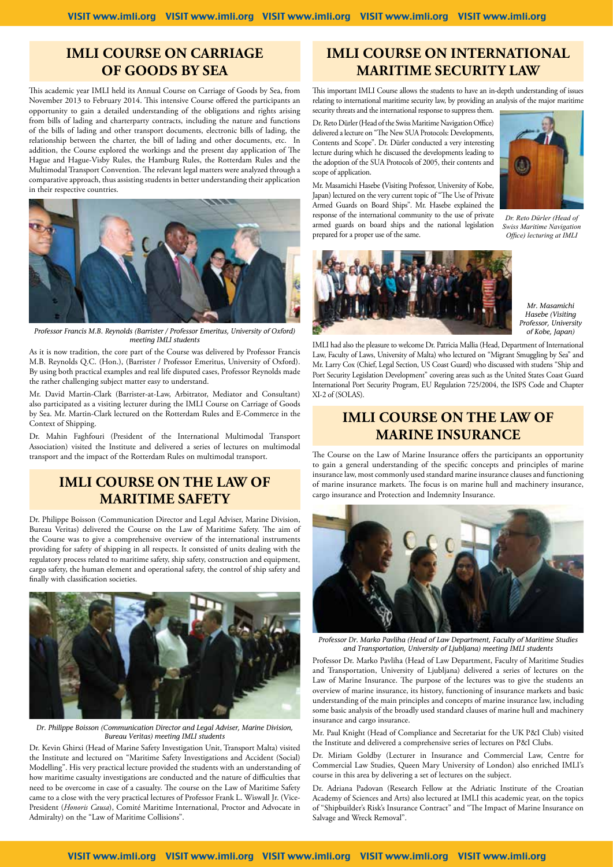### **IMLI COURSE ON CARRIAGE OF GOODS BY SEA**

This academic year IMLI held its Annual Course on Carriage of Goods by Sea, from November 2013 to February 2014. This intensive Course offered the participants an opportunity to gain a detailed understanding of the obligations and rights arising from bills of lading and charterparty contracts, including the nature and functions of the bills of lading and other transport documents, electronic bills of lading, the relationship between the charter, the bill of lading and other documents, etc. In addition, the Course explored the workings and the present day application of The Hague and Hague-Visby Rules, the Hamburg Rules, the Rotterdam Rules and the Multimodal Transport Convention. The relevant legal matters were analyzed through a comparative approach, thus assisting students in better understanding their application in their respective countries.



*Professor Francis M.B. Reynolds (Barrister / Professor Emeritus, University of Oxford) meeting IMLI students*

As it is now tradition, the core part of the Course was delivered by Professor Francis M.B. Reynolds Q.C. (Hon.), (Barrister / Professor Emeritus, University of Oxford). By using both practical examples and real life disputed cases, Professor Reynolds made the rather challenging subject matter easy to understand.

Mr. David Martin-Clark (Barrister-at-Law, Arbitrator, Mediator and Consultant) also participated as a visiting lecturer during the IMLI Course on Carriage of Goods by Sea. Mr. Martin-Clark lectured on the Rotterdam Rules and E-Commerce in the Context of Shipping.

Dr. Mahin Faghfouri (President of the International Multimodal Transport Association) visited the Institute and delivered a series of lectures on multimodal transport and the impact of the Rotterdam Rules on multimodal transport.

## **IMLI COURSE ON THE LAW OF MARITIME SAFETY**

Dr. Philippe Boisson (Communication Director and Legal Adviser, Marine Division, Bureau Veritas) delivered the Course on the Law of Maritime Safety. The aim of the Course was to give a comprehensive overview of the international instruments providing for safety of shipping in all respects. It consisted of units dealing with the regulatory process related to maritime safety, ship safety, construction and equipment, cargo safety, the human element and operational safety, the control of ship safety and finally with classification societies.



*Dr. Philippe Boisson (Communication Director and Legal Adviser, Marine Division, Bureau Veritas) meeting IMLI students*

Dr. Kevin Ghirxi (Head of Marine Safety Investigation Unit, Transport Malta) visited the Institute and lectured on "Maritime Safety Investigations and Accident (Social) Modelling". His very practical lecture provided the students with an understanding of how maritime casualty investigations are conducted and the nature of difficulties that need to be overcome in case of a casualty. The course on the Law of Maritime Safety came to a close with the very practical lectures of Professor Frank L. Wiswall Jr. (Vice-President (*Honoris Causa*), Comité Maritime International, Proctor and Advocate in Admiralty) on the "Law of Maritime Collisions".

### **IMLI COURSE ON INTERNATIONAL MARITIME SECURITY LAW**

This important IMLI Course allows the students to have an in-depth understanding of issues relating to international maritime security law, by providing an analysis of the major maritime security threats and the international response to suppress them.

Dr. Reto Dürler (Head of the Swiss Maritime Navigation Office) delivered a lecture on "The New SUA Protocols: Developments, Contents and Scope". Dr. Dürler conducted a very interesting lecture during which he discussed the developments leading to the adoption of the SUA Protocols of 2005, their contents and scope of application.

Mr. Masamichi Hasebe **(**Visiting Professor, University of Kobe, Japan) lectured on the very current topic of "The Use of Private Armed Guards on Board Ships". Mr. Hasebe explained the response of the international community to the use of private armed guards on board ships and the national legislation prepared for a proper use of the same.



*Dr. Reto Dürler (Head of Swiss Maritime Navigation Office) lecturing at IMLI*



*Mr. Masamichi Hasebe (Visiting Professor, University of Kobe, Japan)*

IMLI had also the pleasure to welcome Dr. Patricia Mallia (Head, Department of International Law, Faculty of Laws, University of Malta) who lectured on "Migrant Smuggling by Sea" and Mr. Larry Cox (Chief, Legal Section, US Coast Guard) who discussed with studens "Ship and Port Security Legislation Development" covering areas such as the United States Coast Guard International Port Security Program, EU Regulation 725/2004, the ISPS Code and Chapter XI-2 of (SOLAS).

### **IMLI COURSE ON THE LAW OF MARINE INSURANCE**

The Course on the Law of Marine Insurance offers the participants an opportunity to gain a general understanding of the specific concepts and principles of marine insurance law, most commonly used standard marine insurance clauses and functioning of marine insurance markets. The focus is on marine hull and machinery insurance, cargo insurance and Protection and Indemnity Insurance.



*Professor Dr. Marko Pavliha (Head of Law Department, Faculty of Maritime Studies and Transportation, University of Ljubljana) meeting IMLI students*

Professor Dr. Marko Pavliha (Head of Law Department, Faculty of Maritime Studies and Transportation, University of Ljubljana) delivered a series of lectures on the Law of Marine Insurance. The purpose of the lectures was to give the students an overview of marine insurance, its history, functioning of insurance markets and basic understanding of the main principles and concepts of marine insurance law, including some basic analysis of the broadly used standard clauses of marine hull and machinery insurance and cargo insurance.

Mr. Paul Knight (Head of Compliance and Secretariat for the UK P&I Club) visited the Institute and delivered a comprehensive series of lectures on P&I Clubs.

Dr. Miriam Goldby (Lecturer in Insurance and Commercial Law, Centre for Commercial Law Studies, Queen Mary University of London) also enriched IMLI's course in this area by delivering a set of lectures on the subject.

Dr. Adriana Padovan (Research Fellow at the Adriatic Institute of the Croatian Academy of Sciences and Arts) also lectured at IMLI this academic year, on the topics of "Shipbuilder's Risk's Insurance Contract" and "The Impact of Marine Insurance on Salvage and Wreck Removal".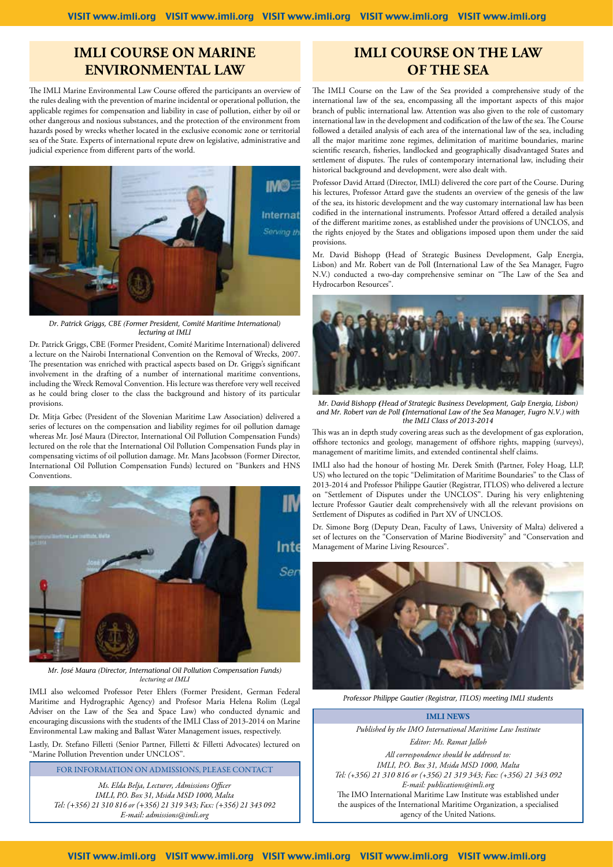#### **IMLI Course on MARINE ENVIRONMENTAL LAW**

The IMLI Marine Environmental Law Course offered the participants an overview of the rules dealing with the prevention of marine incidental or operational pollution, the applicable regimes for compensation and liability in case of pollution, either by oil or other dangerous and noxious substances, and the protection of the environment from hazards posed by wrecks whether located in the exclusive economic zone or territorial sea of the State. Experts of international repute drew on legislative, administrative and judicial experience from different parts of the world.



*Dr. Patrick Griggs, CBE (Former President, Comité Maritime International) lecturing at IMLI*

Dr. Patrick Griggs, CBE (Former President, Comité Maritime International) delivered a lecture on the Nairobi International Convention on the Removal of Wrecks, 2007. The presentation was enriched with practical aspects based on Dr. Griggs's significant involvement in the drafting of a number of international maritime conventions, including the Wreck Removal Convention. His lecture was therefore very well received as he could bring closer to the class the background and history of its particular provisions.

Dr. Mitja Grbec (President of the Slovenian Maritime Law Association) delivered a series of lectures on the compensation and liability regimes for oil pollution damage whereas Mr. José Maura (Director, International Oil Pollution Compensation Funds) lectured on the role that the International Oil Pollution Compensation Funds play in compensating victims of oil pollution damage. Mr. Mans Jacobsson (Former Director, International Oil Pollution Compensation Funds) lectured on "Bunkers and HNS Conventions.



*Mr. José Maura (Director, International Oil Pollution Compensation Funds) lecturing at IMLI*

IMLI also welcomed Professor Peter Ehlers (Former President, German Federal Maritime and Hydrographic Agency) and Profesor Maria Helena Rolim (Legal Adviser on the Law of the Sea and Space Law) who conducted dynamic and encouraging discussions with the students of the IMLI Class of 2013-2014 on Marine Environmental Law making and Ballast Water Management issues, respectively.

Lastly, Dr. Stefano Filletti (Senior Partner, Filletti & Filletti Advocates) lectured on "Marine Pollution Prevention under UNCLOS".

FOR INFORMATION ON ADMISSIONS, PLEASE CONTACT

*Ms. Elda Belja, Lecturer, Admissions Officer IMLI, P.O. Box 31, Msida MSD 1000, Malta Tel: (+356) 21 310 816 or (+356) 21 319 343; Fax: (+356) 21 343 092 E-mail: admissions@imli.org*

#### **IMLI COURSE ON THE LAW OF THE SEA**

The IMLI Course on the Law of the Sea provided a comprehensive study of the international law of the sea, encompassing all the important aspects of this major branch of public international law. Attention was also given to the role of customary international law in the development and codification of the law of the sea. The Course followed a detailed analysis of each area of the international law of the sea, including all the major maritime zone regimes, delimitation of maritime boundaries, marine scientific research, fisheries, landlocked and geographically disadvantaged States and settlement of disputes. The rules of contemporary international law, including their historical background and development, were also dealt with.

Professor David Attard (Director, IMLI) delivered the core part of the Course. During his lectures, Professor Attard gave the students an overview of the genesis of the law of the sea, its historic development and the way customary international law has been codified in the international instruments. Professor Attard offered a detailed analysis of the different maritime zones, as established under the provisions of UNCLOS, and the rights enjoyed by the States and obligations imposed upon them under the said provisions.

Mr. David Bishopp **(**Head of Strategic Business Development, Galp Energia, Lisbon) and Mr. Robert van de Poll **(**International Law of the Sea Manager, Fugro N.V.) conducted a two-day comprehensive seminar on "The Law of the Sea and Hydrocarbon Resources".



*Mr. David Bishopp (Head of Strategic Business Development, Galp Energia, Lisbon) and Mr. Robert van de Poll (International Law of the Sea Manager, Fugro N.V.) with the IMLI Class of 2013-2014*

This was an in depth study covering areas such as the development of gas exploration, offshore tectonics and geology, management of offshore rights, mapping (surveys), management of maritime limits, and extended continental shelf claims.

IMLI also had the honour of hosting Mr. Derek Smith **(**Partner, Foley Hoag, LLP, US) who lectured on the topic "Delimitation of Maritime Boundaries" to the Class of 2013-2014 and Professor Philippe Gautier (Registrar, ITLOS) who delivered a lecture on "Settlement of Disputes under the UNCLOS". During his very enlightening lecture Professor Gautier dealt comprehensively with all the relevant provisions on Settlement of Disputes as codified in Part XV of UNCLOS.

Dr. Simone Borg (Deputy Dean, Faculty of Laws, University of Malta) delivered a set of lectures on the "Conservation of Marine Biodiversity" and "Conservation and Management of Marine Living Resources".



*Professor Philippe Gautier (Registrar, ITLOS) meeting IMLI students*